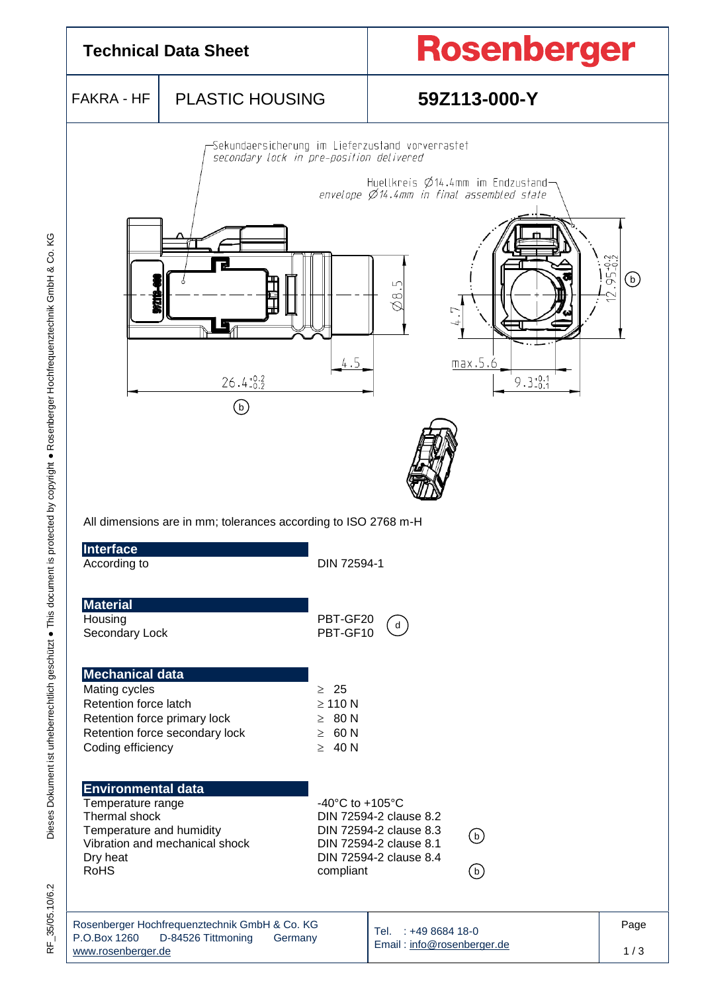

Dieses Dokument ist urheberrechtlich geschützt · This document is protected by copyright · Rosenberger Hochfrequenztechnik GmbH & Co. KG F\_35/05.10/6.2 Dieses Dokument ist urheberrechtlich geschützt ● This document is protected by copyright ● Rosenberger Hochfrequenztechnik GmbH & Co. KG

35/05.10/6.2 √⊭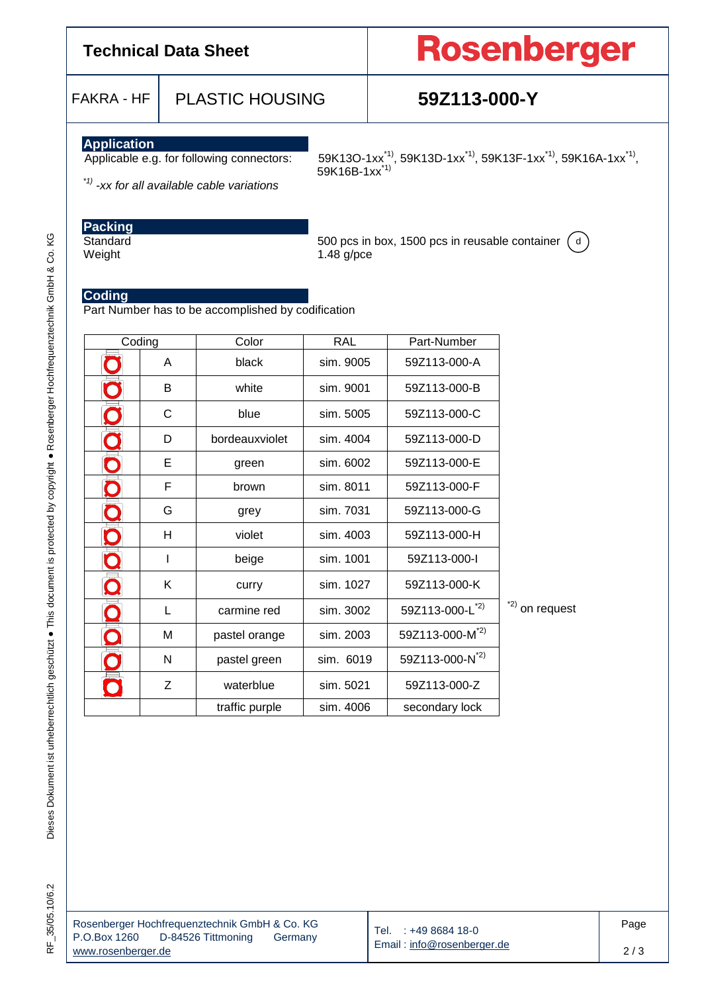## **Technical Data Sheet**

# Rosenberger

FAKRA - HF PLASTIC HOUSING **59Z113-000-Y**

**Application**<br>**Applicable e.g. for following connectors:** 

Applicable e.g. for following connectors: 59K13O-1xx<sup>\*1</sup>, 59K13D-1xx<sup>\*1</sup>, 59K13F-1xx<sup>\*1</sup>, 59K16A-1xx<sup>\*1</sup>, 59K16B-1xx\*1)

*\*1) -xx for all available cable variations*

# **Packing**

Standard 500 pcs in box, 1500 pcs in reusable container dWeight 1.48 g/pce

### **Coding**

Part Number has to be accomplished by codification

| Coding          |              | Color          | <b>RAL</b> | Part-Number                 |                 |
|-----------------|--------------|----------------|------------|-----------------------------|-----------------|
|                 | A            | black          | sim. 9005  | 59Z113-000-A                |                 |
|                 | B            | white          | sim. 9001  | 59Z113-000-B                |                 |
|                 | $\mathsf{C}$ | blue           | sim. 5005  | 59Z113-000-C                |                 |
|                 | D            | bordeauxviolet | sim. 4004  | 59Z113-000-D                |                 |
|                 | Е            | green          | sim. 6002  | 59Z113-000-E                |                 |
|                 | F            | brown          | sim. 8011  | 59Z113-000-F                |                 |
|                 | G            | grey           | sim. 7031  | 59Z113-000-G                |                 |
|                 | H            | violet         | sim. 4003  | 59Z113-000-H                |                 |
|                 | I            | beige          | sim. 1001  | 59Z113-000-I                |                 |
| O               | Κ            | curry          | sim. 1027  | 59Z113-000-K                |                 |
|                 | L            | carmine red    | sim. 3002  | 59Z113-000-L <sup>*2)</sup> | $2)$ on request |
|                 | M            | pastel orange  | sim. 2003  | 59Z113-000-M <sup>*2)</sup> |                 |
|                 | N            | pastel green   | sim. 6019  | 59Z113-000-N <sup>*2)</sup> |                 |
| $\bm{\Diamond}$ | Z            | waterblue      | sim. 5021  | 59Z113-000-Z                |                 |
|                 |              | traffic purple | sim. 4006  | secondary lock              |                 |

|                    | Rosenberger Hochfrequenztechnik GmbH & Co. KG |         |  |  |  |  |  |
|--------------------|-----------------------------------------------|---------|--|--|--|--|--|
| P.O.Box 1260       | D-84526 Tittmoning                            | Germany |  |  |  |  |  |
| www.rosenberger.de |                                               |         |  |  |  |  |  |

Tel. : +49 8684 18-0 Email [: info@rosenberger.de](mailto:info@rosenberger.de)